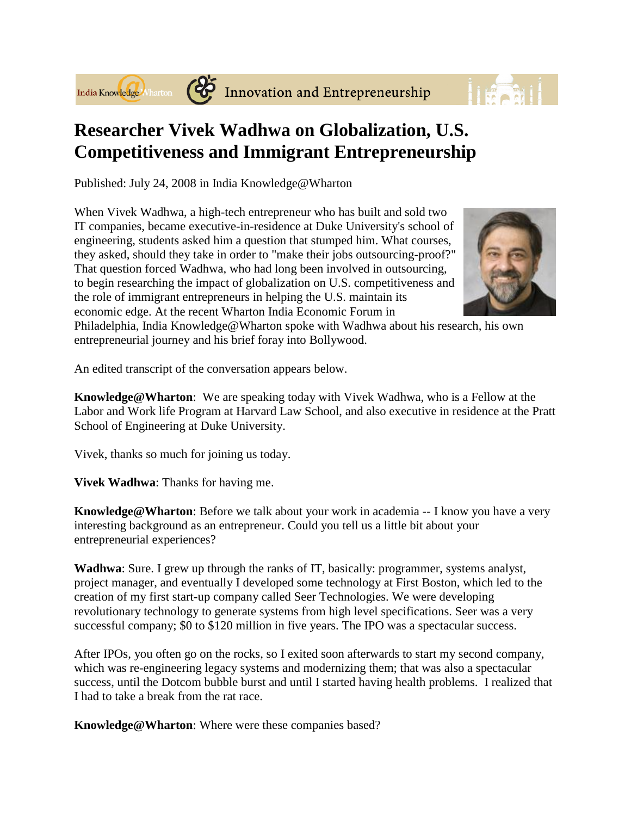



## **Researcher Vivek Wadhwa on Globalization, U.S. Competitiveness and Immigrant Entrepreneurship**

Published: July 24, 2008 in India Knowledge@Wharton

When Vivek Wadhwa, a high-tech entrepreneur who has built and sold two IT companies, became executive-in-residence at Duke University's school of engineering, students asked him a question that stumped him. What courses, they asked, should they take in order to "make their jobs outsourcing-proof?" That question forced Wadhwa, who had long been involved in outsourcing, to begin researching the impact of globalization on U.S. competitiveness and the role of immigrant entrepreneurs in helping the U.S. maintain its economic edge. At the recent Wharton India Economic Forum in



Philadelphia, India Knowledge@Wharton spoke with Wadhwa about his research, his own entrepreneurial journey and his brief foray into Bollywood.

An edited transcript of the conversation appears below.

**Knowledge@Wharton**: We are speaking today with Vivek Wadhwa, who is a Fellow at the Labor and Work life Program at Harvard Law School, and also executive in residence at the Pratt School of Engineering at Duke University.

Vivek, thanks so much for joining us today.

**Vivek Wadhwa**: Thanks for having me.

**Knowledge@Wharton**: Before we talk about your work in academia -- I know you have a very interesting background as an entrepreneur. Could you tell us a little bit about your entrepreneurial experiences?

**Wadhwa**: Sure. I grew up through the ranks of IT, basically: programmer, systems analyst, project manager, and eventually I developed some technology at First Boston, which led to the creation of my first start-up company called Seer Technologies. We were developing revolutionary technology to generate systems from high level specifications. Seer was a very successful company; \$0 to \$120 million in five years. The IPO was a spectacular success.

After IPOs, you often go on the rocks, so I exited soon afterwards to start my second company, which was re-engineering legacy systems and modernizing them; that was also a spectacular success, until the Dotcom bubble burst and until I started having health problems. I realized that I had to take a break from the rat race.

**Knowledge@Wharton**: Where were these companies based?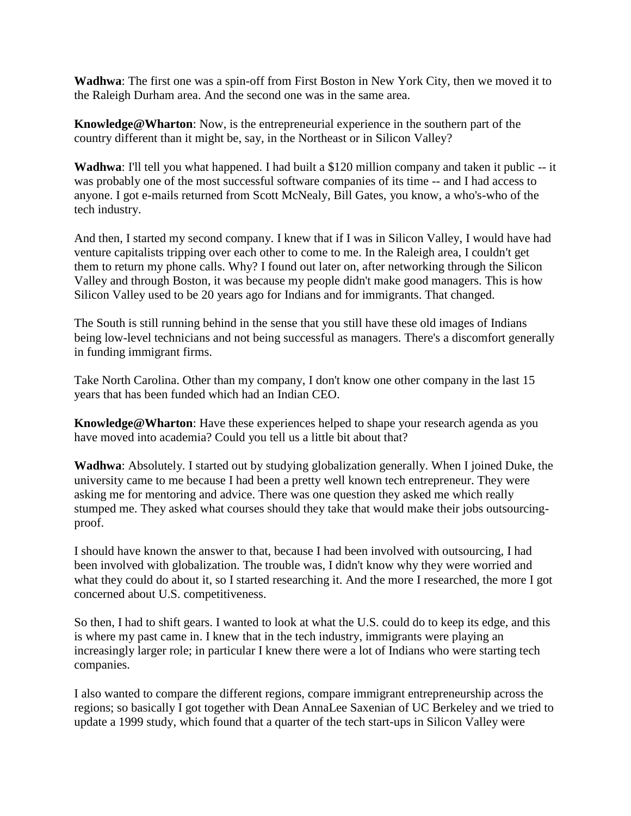**Wadhwa**: The first one was a spin-off from First Boston in New York City, then we moved it to the Raleigh Durham area. And the second one was in the same area.

**Knowledge@Wharton**: Now, is the entrepreneurial experience in the southern part of the country different than it might be, say, in the Northeast or in Silicon Valley?

**Wadhwa**: I'll tell you what happened. I had built a \$120 million company and taken it public -- it was probably one of the most successful software companies of its time -- and I had access to anyone. I got e-mails returned from Scott McNealy, Bill Gates, you know, a who's-who of the tech industry.

And then, I started my second company. I knew that if I was in Silicon Valley, I would have had venture capitalists tripping over each other to come to me. In the Raleigh area, I couldn't get them to return my phone calls. Why? I found out later on, after networking through the Silicon Valley and through Boston, it was because my people didn't make good managers. This is how Silicon Valley used to be 20 years ago for Indians and for immigrants. That changed.

The South is still running behind in the sense that you still have these old images of Indians being low-level technicians and not being successful as managers. There's a discomfort generally in funding immigrant firms.

Take North Carolina. Other than my company, I don't know one other company in the last 15 years that has been funded which had an Indian CEO.

**Knowledge@Wharton**: Have these experiences helped to shape your research agenda as you have moved into academia? Could you tell us a little bit about that?

**Wadhwa**: Absolutely. I started out by studying globalization generally. When I joined Duke, the university came to me because I had been a pretty well known tech entrepreneur. They were asking me for mentoring and advice. There was one question they asked me which really stumped me. They asked what courses should they take that would make their jobs outsourcingproof.

I should have known the answer to that, because I had been involved with outsourcing, I had been involved with globalization. The trouble was, I didn't know why they were worried and what they could do about it, so I started researching it. And the more I researched, the more I got concerned about U.S. competitiveness.

So then, I had to shift gears. I wanted to look at what the U.S. could do to keep its edge, and this is where my past came in. I knew that in the tech industry, immigrants were playing an increasingly larger role; in particular I knew there were a lot of Indians who were starting tech companies.

I also wanted to compare the different regions, compare immigrant entrepreneurship across the regions; so basically I got together with Dean AnnaLee Saxenian of UC Berkeley and we tried to update a 1999 study, which found that a quarter of the tech start-ups in Silicon Valley were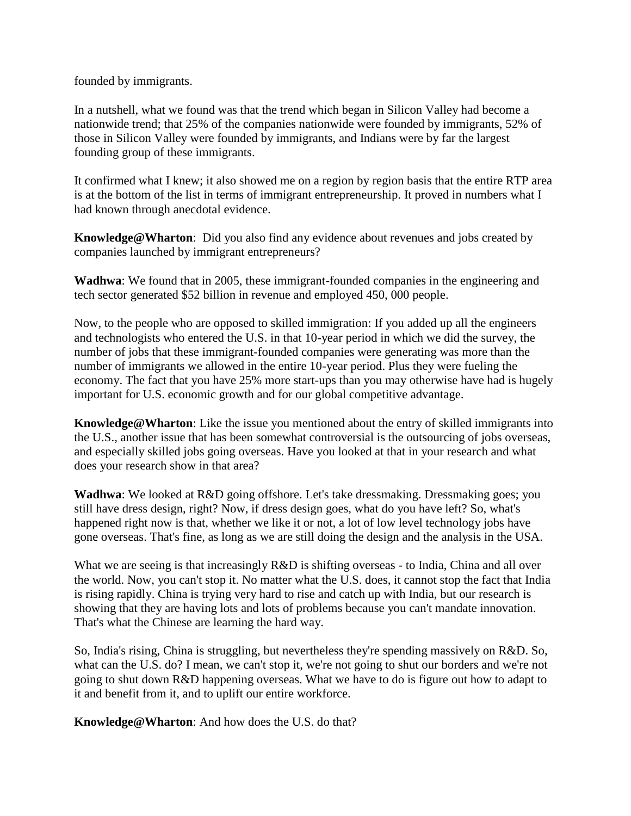founded by immigrants.

In a nutshell, what we found was that the trend which began in Silicon Valley had become a nationwide trend; that 25% of the companies nationwide were founded by immigrants, 52% of those in Silicon Valley were founded by immigrants, and Indians were by far the largest founding group of these immigrants.

It confirmed what I knew; it also showed me on a region by region basis that the entire RTP area is at the bottom of the list in terms of immigrant entrepreneurship. It proved in numbers what I had known through anecdotal evidence.

**Knowledge@Wharton**: Did you also find any evidence about revenues and jobs created by companies launched by immigrant entrepreneurs?

**Wadhwa**: We found that in 2005, these immigrant-founded companies in the engineering and tech sector generated \$52 billion in revenue and employed 450, 000 people.

Now, to the people who are opposed to skilled immigration: If you added up all the engineers and technologists who entered the U.S. in that 10-year period in which we did the survey, the number of jobs that these immigrant-founded companies were generating was more than the number of immigrants we allowed in the entire 10-year period. Plus they were fueling the economy. The fact that you have 25% more start-ups than you may otherwise have had is hugely important for U.S. economic growth and for our global competitive advantage.

**Knowledge@Wharton**: Like the issue you mentioned about the entry of skilled immigrants into the U.S., another issue that has been somewhat controversial is the outsourcing of jobs overseas, and especially skilled jobs going overseas. Have you looked at that in your research and what does your research show in that area?

**Wadhwa**: We looked at R&D going offshore. Let's take dressmaking. Dressmaking goes; you still have dress design, right? Now, if dress design goes, what do you have left? So, what's happened right now is that, whether we like it or not, a lot of low level technology jobs have gone overseas. That's fine, as long as we are still doing the design and the analysis in the USA.

What we are seeing is that increasingly R&D is shifting overseas - to India, China and all over the world. Now, you can't stop it. No matter what the U.S. does, it cannot stop the fact that India is rising rapidly. China is trying very hard to rise and catch up with India, but our research is showing that they are having lots and lots of problems because you can't mandate innovation. That's what the Chinese are learning the hard way.

So, India's rising, China is struggling, but nevertheless they're spending massively on R&D. So, what can the U.S. do? I mean, we can't stop it, we're not going to shut our borders and we're not going to shut down R&D happening overseas. What we have to do is figure out how to adapt to it and benefit from it, and to uplift our entire workforce.

**Knowledge@Wharton**: And how does the U.S. do that?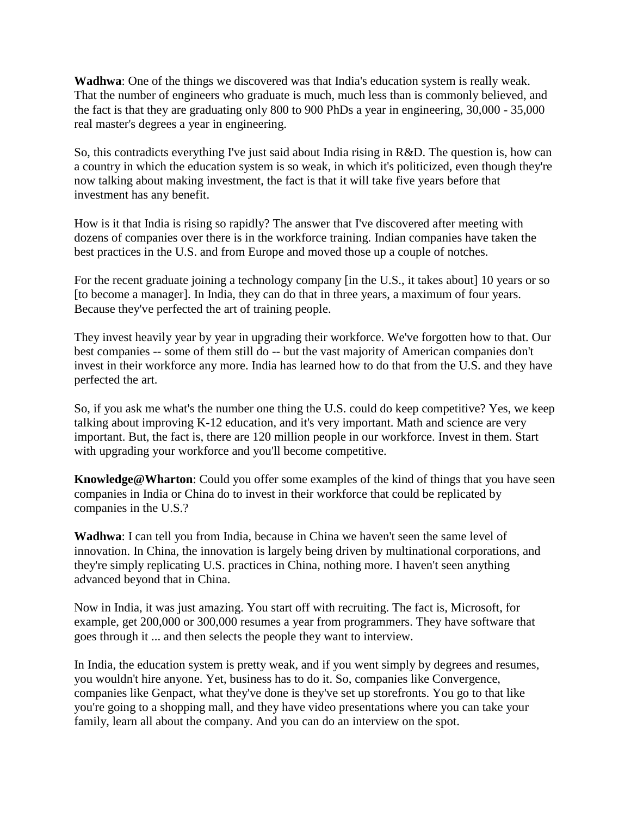**Wadhwa**: One of the things we discovered was that India's education system is really weak. That the number of engineers who graduate is much, much less than is commonly believed, and the fact is that they are graduating only 800 to 900 PhDs a year in engineering, 30,000 - 35,000 real master's degrees a year in engineering.

So, this contradicts everything I've just said about India rising in R&D. The question is, how can a country in which the education system is so weak, in which it's politicized, even though they're now talking about making investment, the fact is that it will take five years before that investment has any benefit.

How is it that India is rising so rapidly? The answer that I've discovered after meeting with dozens of companies over there is in the workforce training. Indian companies have taken the best practices in the U.S. and from Europe and moved those up a couple of notches.

For the recent graduate joining a technology company [in the U.S., it takes about] 10 years or so [to become a manager]. In India, they can do that in three years, a maximum of four years. Because they've perfected the art of training people.

They invest heavily year by year in upgrading their workforce. We've forgotten how to that. Our best companies -- some of them still do -- but the vast majority of American companies don't invest in their workforce any more. India has learned how to do that from the U.S. and they have perfected the art.

So, if you ask me what's the number one thing the U.S. could do keep competitive? Yes, we keep talking about improving K-12 education, and it's very important. Math and science are very important. But, the fact is, there are 120 million people in our workforce. Invest in them. Start with upgrading your workforce and you'll become competitive.

**Knowledge@Wharton**: Could you offer some examples of the kind of things that you have seen companies in India or China do to invest in their workforce that could be replicated by companies in the U.S.?

**Wadhwa**: I can tell you from India, because in China we haven't seen the same level of innovation. In China, the innovation is largely being driven by multinational corporations, and they're simply replicating U.S. practices in China, nothing more. I haven't seen anything advanced beyond that in China.

Now in India, it was just amazing. You start off with recruiting. The fact is, Microsoft, for example, get 200,000 or 300,000 resumes a year from programmers. They have software that goes through it ... and then selects the people they want to interview.

In India, the education system is pretty weak, and if you went simply by degrees and resumes, you wouldn't hire anyone. Yet, business has to do it. So, companies like Convergence, companies like Genpact, what they've done is they've set up storefronts. You go to that like you're going to a shopping mall, and they have video presentations where you can take your family, learn all about the company. And you can do an interview on the spot.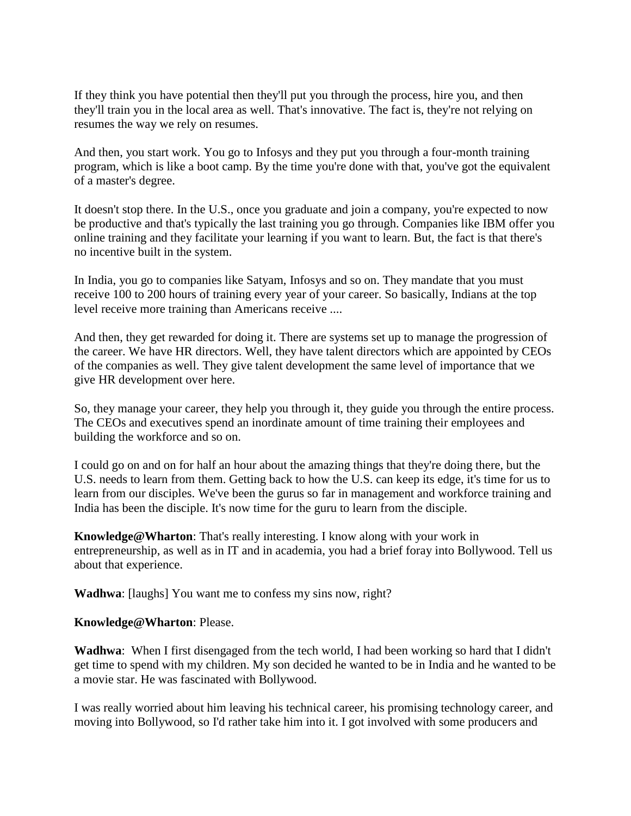If they think you have potential then they'll put you through the process, hire you, and then they'll train you in the local area as well. That's innovative. The fact is, they're not relying on resumes the way we rely on resumes.

And then, you start work. You go to Infosys and they put you through a four-month training program, which is like a boot camp. By the time you're done with that, you've got the equivalent of a master's degree.

It doesn't stop there. In the U.S., once you graduate and join a company, you're expected to now be productive and that's typically the last training you go through. Companies like IBM offer you online training and they facilitate your learning if you want to learn. But, the fact is that there's no incentive built in the system.

In India, you go to companies like Satyam, Infosys and so on. They mandate that you must receive 100 to 200 hours of training every year of your career. So basically, Indians at the top level receive more training than Americans receive ....

And then, they get rewarded for doing it. There are systems set up to manage the progression of the career. We have HR directors. Well, they have talent directors which are appointed by CEOs of the companies as well. They give talent development the same level of importance that we give HR development over here.

So, they manage your career, they help you through it, they guide you through the entire process. The CEOs and executives spend an inordinate amount of time training their employees and building the workforce and so on.

I could go on and on for half an hour about the amazing things that they're doing there, but the U.S. needs to learn from them. Getting back to how the U.S. can keep its edge, it's time for us to learn from our disciples. We've been the gurus so far in management and workforce training and India has been the disciple. It's now time for the guru to learn from the disciple.

**Knowledge@Wharton**: That's really interesting. I know along with your work in entrepreneurship, as well as in IT and in academia, you had a brief foray into Bollywood. Tell us about that experience.

**Wadhwa**: [laughs] You want me to confess my sins now, right?

## **Knowledge@Wharton**: Please.

**Wadhwa**: When I first disengaged from the tech world, I had been working so hard that I didn't get time to spend with my children. My son decided he wanted to be in India and he wanted to be a movie star. He was fascinated with Bollywood.

I was really worried about him leaving his technical career, his promising technology career, and moving into Bollywood, so I'd rather take him into it. I got involved with some producers and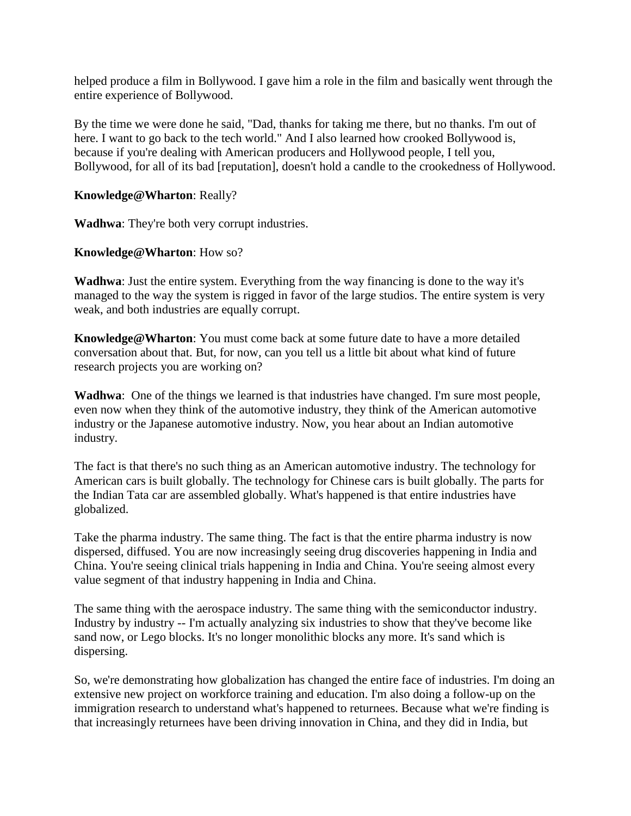helped produce a film in Bollywood. I gave him a role in the film and basically went through the entire experience of Bollywood.

By the time we were done he said, "Dad, thanks for taking me there, but no thanks. I'm out of here. I want to go back to the tech world." And I also learned how crooked Bollywood is, because if you're dealing with American producers and Hollywood people, I tell you, Bollywood, for all of its bad [reputation], doesn't hold a candle to the crookedness of Hollywood.

## **Knowledge@Wharton**: Really?

**Wadhwa**: They're both very corrupt industries.

**Knowledge@Wharton**: How so?

**Wadhwa**: Just the entire system. Everything from the way financing is done to the way it's managed to the way the system is rigged in favor of the large studios. The entire system is very weak, and both industries are equally corrupt.

**Knowledge@Wharton**: You must come back at some future date to have a more detailed conversation about that. But, for now, can you tell us a little bit about what kind of future research projects you are working on?

**Wadhwa**: One of the things we learned is that industries have changed. I'm sure most people, even now when they think of the automotive industry, they think of the American automotive industry or the Japanese automotive industry. Now, you hear about an Indian automotive industry.

The fact is that there's no such thing as an American automotive industry. The technology for American cars is built globally. The technology for Chinese cars is built globally. The parts for the Indian Tata car are assembled globally. What's happened is that entire industries have globalized.

Take the pharma industry. The same thing. The fact is that the entire pharma industry is now dispersed, diffused. You are now increasingly seeing drug discoveries happening in India and China. You're seeing clinical trials happening in India and China. You're seeing almost every value segment of that industry happening in India and China.

The same thing with the aerospace industry. The same thing with the semiconductor industry. Industry by industry -- I'm actually analyzing six industries to show that they've become like sand now, or Lego blocks. It's no longer monolithic blocks any more. It's sand which is dispersing.

So, we're demonstrating how globalization has changed the entire face of industries. I'm doing an extensive new project on workforce training and education. I'm also doing a follow-up on the immigration research to understand what's happened to returnees. Because what we're finding is that increasingly returnees have been driving innovation in China, and they did in India, but